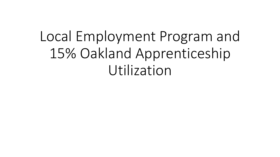## Local Employment Program and 15% Oakland Apprenticeship Utilization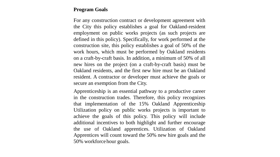## **Program Goals**

For any construction contract or development agreement with the City this policy establishes a goal for Oakland-resident employment on public works projects (as such projects are defined in this policy). Specifically, for work performed at the construction site, this policy establishes a goal of 50% of the work hours, which must be performed by Oakland residents on a craft-by-craft basis. In addition, a minimum of 50% of all new hires on the project (on a craft-by-craft basis) must be Oakland residents, and the first new hire must be an Oakland resident. A contractor or developer must achieve the goals or secure an exemption from the City.

Apprenticeship is an essential pathway to a productive career in the construction trades. Therefore, this policy recognizes that implementation of the 15% Oakland Apprenticeship Utilization policy on public works projects is important to achieve the goals of this policy. This policy will include additional incentives to both highlight and further encourage the use of Oakland apprentices. Utilization of Oakland Apprentices will count toward the 50% new hire goals and the 50% workforcehour goals.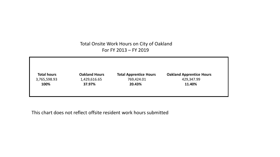## Total Onsite Work Hours on City of Oakland For FY 2013 – FY 2019



This chart does not reflect offsite resident work hours submitted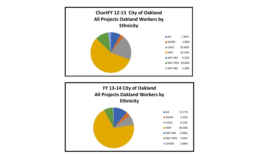